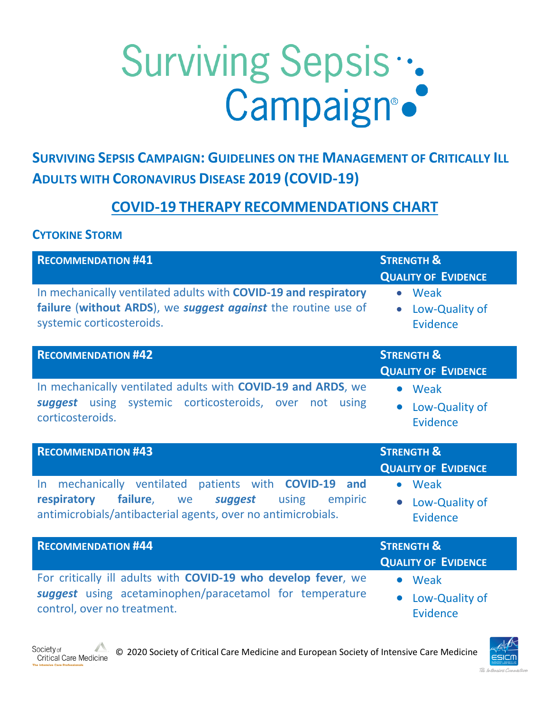## Surviving Sepsis :.

**SURVIVING SEPSIS CAMPAIGN: GUIDELINES ON THE MANAGEMENT OF CRITICALLY ILL ADULTS WITH CORONAVIRUS DISEASE 2019 (COVID-19)**

## **COVID-19 THERAPY RECOMMENDATIONS CHART**

## **CYTOKINE STORM**

Society of

| <b>RECOMMENDATION #41</b>                                                                                                                                                             | <b>STRENGTH &amp;</b><br><b>QUALITY OF EVIDENCE</b>      |
|---------------------------------------------------------------------------------------------------------------------------------------------------------------------------------------|----------------------------------------------------------|
| In mechanically ventilated adults with COVID-19 and respiratory<br>failure (without ARDS), we suggest against the routine use of<br>systemic corticosteroids.                         | • Weak<br>Low-Quality of<br>$\bullet$<br>Evidence        |
| <b>RECOMMENDATION #42</b>                                                                                                                                                             | <b>STRENGTH &amp;</b><br><b>QUALITY OF EVIDENCE</b>      |
| In mechanically ventilated adults with COVID-19 and ARDS, we<br>suggest using systemic corticosteroids, over not using<br>corticosteroids.                                            | • Weak<br>Low-Quality of<br>Evidence                     |
| <b>RECOMMENDATION #43</b>                                                                                                                                                             | <b>STRENGTH &amp;</b><br><b>QUALITY OF EVIDENCE</b>      |
| In mechanically ventilated patients with COVID-19<br>and<br>failure, we<br>respiratory<br>suggest<br>using<br>empiric<br>antimicrobials/antibacterial agents, over no antimicrobials. | • Weak<br>Low-Quality of<br><b>Evidence</b>              |
| <b>RECOMMENDATION #44</b>                                                                                                                                                             | <b>STRENGTH &amp;</b><br><b>QUALITY OF EVIDENCE</b>      |
| For critically ill adults with COVID-19 who develop fever, we<br>suggest using acetaminophen/paracetamol for temperature<br>control, over no treatment.                               | • Weak<br>Low-Quality of<br>$\bullet$<br><b>Evidence</b> |



© 2020 Society of Critical Care Medicine and European Society of Intensive Care Medicine Critical Care Medicine